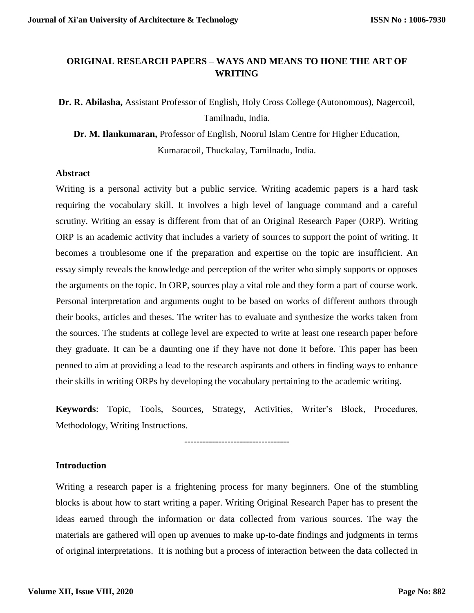# **ORIGINAL RESEARCH PAPERS – WAYS AND MEANS TO HONE THE ART OF WRITING**

**Dr. R. Abilasha,** Assistant Professor of English, Holy Cross College (Autonomous), Nagercoil, Tamilnadu, India.

**Dr. M. Ilankumaran,** Professor of English, Noorul Islam Centre for Higher Education, Kumaracoil, Thuckalay, Tamilnadu, India.

#### **Abstract**

Writing is a personal activity but a public service. Writing academic papers is a hard task requiring the vocabulary skill. It involves a high level of language command and a careful scrutiny. Writing an essay is different from that of an Original Research Paper (ORP). Writing ORP is an academic activity that includes a variety of sources to support the point of writing. It becomes a troublesome one if the preparation and expertise on the topic are insufficient. An essay simply reveals the knowledge and perception of the writer who simply supports or opposes the arguments on the topic. In ORP, sources play a vital role and they form a part of course work. Personal interpretation and arguments ought to be based on works of different authors through their books, articles and theses. The writer has to evaluate and synthesize the works taken from the sources. The students at college level are expected to write at least one research paper before they graduate. It can be a daunting one if they have not done it before. This paper has been penned to aim at providing a lead to the research aspirants and others in finding ways to enhance their skills in writing ORPs by developing the vocabulary pertaining to the academic writing.

**Keywords**: Topic, Tools, Sources, Strategy, Activities, Writer's Block, Procedures, Methodology, Writing Instructions.

----------------------------------

#### **Introduction**

Writing a research paper is a frightening process for many beginners. One of the stumbling blocks is about how to start writing a paper. Writing Original Research Paper has to present the ideas earned through the information or data collected from various sources. The way the materials are gathered will open up avenues to make up-to-date findings and judgments in terms of original interpretations. It is nothing but a process of interaction between the data collected in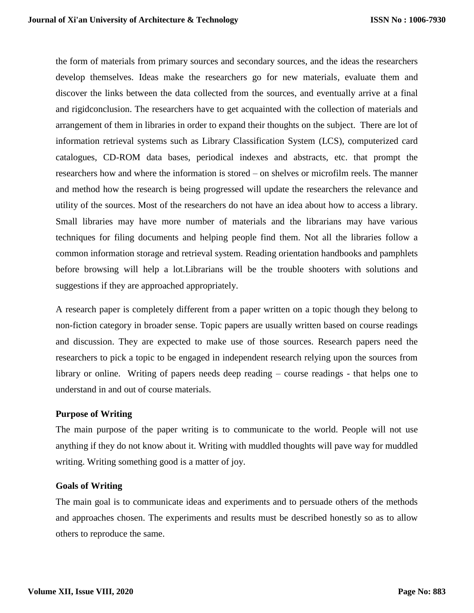the form of materials from primary sources and secondary sources, and the ideas the researchers develop themselves. Ideas make the researchers go for new materials, evaluate them and discover the links between the data collected from the sources, and eventually arrive at a final and rigidconclusion. The researchers have to get acquainted with the collection of materials and arrangement of them in libraries in order to expand their thoughts on the subject. There are lot of information retrieval systems such as Library Classification System (LCS), computerized card catalogues, CD-ROM data bases, periodical indexes and abstracts, etc. that prompt the researchers how and where the information is stored – on shelves or microfilm reels. The manner and method how the research is being progressed will update the researchers the relevance and utility of the sources. Most of the researchers do not have an idea about how to access a library. Small libraries may have more number of materials and the librarians may have various techniques for filing documents and helping people find them. Not all the libraries follow a common information storage and retrieval system. Reading orientation handbooks and pamphlets before browsing will help a lot.Librarians will be the trouble shooters with solutions and suggestions if they are approached appropriately.

A research paper is completely different from a paper written on a topic though they belong to non-fiction category in broader sense. Topic papers are usually written based on course readings and discussion. They are expected to make use of those sources. Research papers need the researchers to pick a topic to be engaged in independent research relying upon the sources from library or online. Writing of papers needs deep reading – course readings - that helps one to understand in and out of course materials.

#### **Purpose of Writing**

The main purpose of the paper writing is to communicate to the world. People will not use anything if they do not know about it. Writing with muddled thoughts will pave way for muddled writing. Writing something good is a matter of joy.

#### **Goals of Writing**

The main goal is to communicate ideas and experiments and to persuade others of the methods and approaches chosen. The experiments and results must be described honestly so as to allow others to reproduce the same.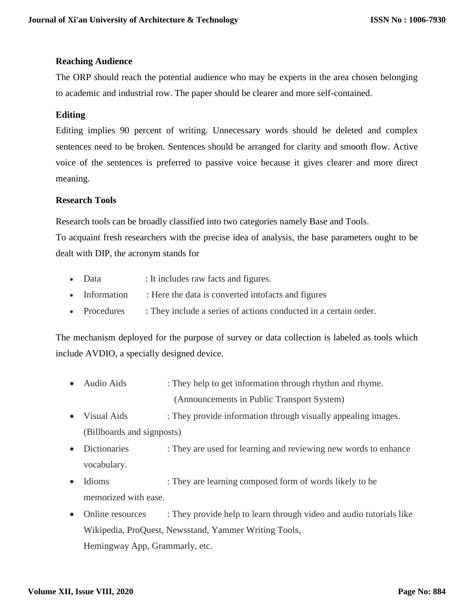# **Reaching Audience**

The ORP should reach the potential audience who may be experts in the area chosen belonging to academic and industrial row. The paper should be clearer and more self-contained.

# **Editing**

Editing implies 90 percent of writing. Unnecessary words should be deleted and complex sentences need to be broken. Sentences should be arranged for clarity and smooth flow. Active voice of the sentences is preferred to passive voice because it gives clearer and more direct meaning.

## **Research Tools**

Research tools can be broadly classified into two categories namely Base and Tools.

To acquaint fresh researchers with the precise idea of analysis, the base parameters ought to be dealt with DIP, the acronym stands for

- Data : It includes raw facts and figures.
- Information : Here the data is converted intofacts and figures
- Procedures : They include a series of actions conducted in a certain order.

The mechanism deployed for the purpose of survey or data collection is labeled as tools which include AVDIO, a specially designed device.

- Audio Aids : They help to get information through rhythm and rhyme. (Announcements in Public Transport System)
- Visual Aids : They provide information through visually appealing images. (Billboards and signposts)
- Dictionaries : They are used for learning and reviewing new words to enhance vocabulary.
- Idioms : They are learning composed form of words likely to be memorized with ease.
- Online resources : They provide help to learn through video and audio tutorials like Wikipedia, ProQuest, Newsstand, Yammer Writing Tools, Hemingway App, Grammarly, etc.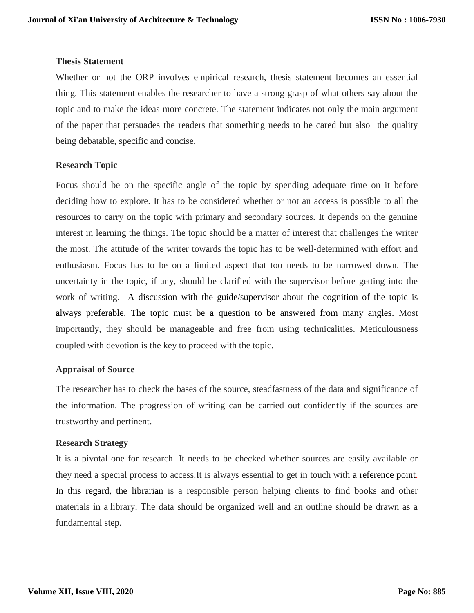#### **Thesis Statement**

Whether or not the ORP involves empirical research, thesis statement becomes an essential thing. This statement enables the researcher to have a strong grasp of what others say about the topic and to make the ideas more concrete. The statement indicates not only the main argument of the paper that persuades the readers that something needs to be cared but also the quality being debatable, specific and concise.

## **Research Topic**

Focus should be on the specific angle of the topic by spending adequate time on it before deciding how to explore. It has to be considered whether or not an access is possible to all the resources to carry on the topic with primary and secondary sources. It depends on the genuine interest in learning the things. The topic should be a matter of interest that challenges the writer the most. The attitude of the writer towards the topic has to be well-determined with effort and enthusiasm. Focus has to be on a limited aspect that too needs to be narrowed down. The uncertainty in the topic, if any, should be clarified with the supervisor before getting into the work of writing. A discussion with the guide/supervisor about the cognition of the topic is always preferable. The topic must be a question to be answered from many angles. Most importantly, they should be manageable and free from using technicalities. Meticulousness coupled with devotion is the key to proceed with the topic.

## **Appraisal of Source**

The researcher has to check the bases of the source, steadfastness of the data and significance of the information. The progression of writing can be carried out confidently if the sources are trustworthy and pertinent.

## **Research Strategy**

It is a pivotal one for research. It needs to be checked whether sources are easily available or they need a special process to access.It is always essential to get in touch with a reference point. In this regard, the librarian is a responsible person helping clients to find books and other materials in a library. The data should be organized well and an outline should be drawn as a fundamental step.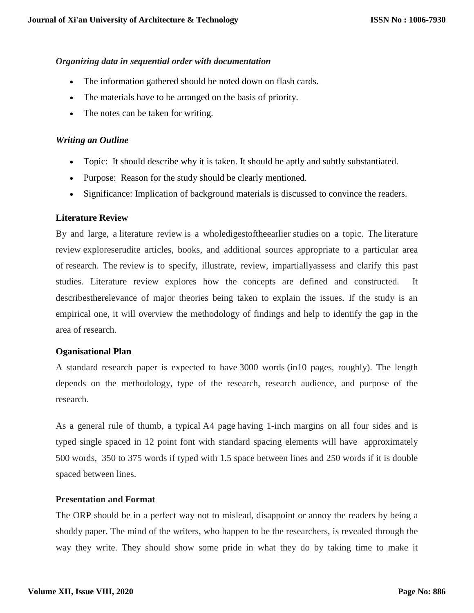## *Organizing data in sequential order with documentation*

- The information gathered should be noted down on flash cards.
- The materials have to be arranged on the basis of priority.
- The notes can be taken for writing.

#### *Writing an Outline*

- Topic: It should describe why it is taken. It should be aptly and subtly substantiated.
- Purpose: Reason for the study should be clearly mentioned.
- Significance: Implication of background materials is discussed to convince the readers.

#### **Literature Review**

By and large, a literature review is a wholedigestoftheearlier studies on a topic. The literature review exploreserudite articles, books, and additional sources appropriate to a particular area of research. The review is to specify, illustrate, review, impartiallyassess and clarify this past studies. Literature review explores how the concepts are defined and constructed. It describestherelevance of major theories being taken to explain the issues. If the study is an empirical one, it will overview the methodology of findings and help to identify the gap in the area of research.

## **Oganisational Plan**

A standard research paper is expected to have 3000 words (in10 pages, roughly). The length depends on the methodology, type of the research, research audience, and purpose of the research.

As a general rule of thumb, a typical A4 page having 1-inch margins on all four sides and is typed single spaced in 12 point font with standard spacing elements will have approximately 500 words, 350 to 375 words if typed with 1.5 space between lines and 250 words if it is double spaced between lines.

## **Presentation and Format**

The ORP should be in a perfect way not to mislead, disappoint or annoy the readers by being a shoddy paper. The mind of the writers, who happen to be the researchers, is revealed through the way they write. They should show some pride in what they do by taking time to make it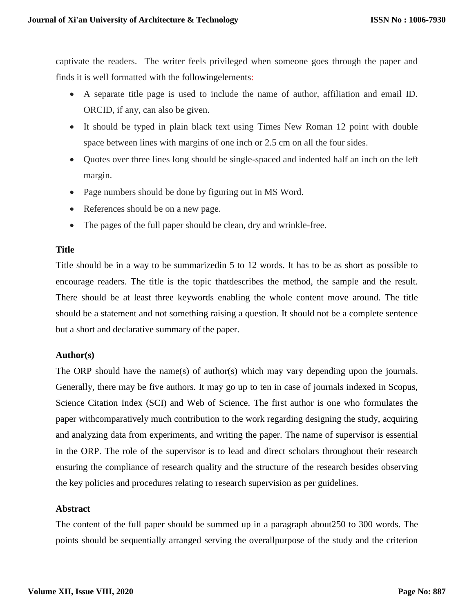captivate the readers. The writer feels privileged when someone goes through the paper and finds it is well formatted with the followingelements:

- A separate title page is used to include the name of author, affiliation and email ID. ORCID, if any, can also be given.
- It should be typed in plain black text using Times New Roman 12 point with double space between lines with margins of one inch or 2.5 cm on all the four sides.
- Quotes over three lines long should be single-spaced and indented half an inch on the left margin.
- Page numbers should be done by figuring out in MS Word.
- References should be on a new page.
- The pages of the full paper should be clean, dry and wrinkle-free.

#### **Title**

Title should be in a way to be summarizedin 5 to 12 words. It has to be as short as possible to encourage readers. The title is the topic thatdescribes the method, the sample and the result. There should be at least three keywords enabling the whole content move around. The title should be a statement and not something raising a question. It should not be a complete sentence but a short and declarative summary of the paper.

## **Author(s)**

The ORP should have the name(s) of author(s) which may vary depending upon the journals. Generally, there may be five authors. It may go up to ten in case of journals indexed in Scopus, Science Citation Index (SCI) and Web of Science. The first author is one who formulates the paper withcomparatively much contribution to the work regarding designing the study, acquiring and analyzing data from experiments, and writing the paper. The name of supervisor is essential in the ORP. The role of the supervisor is to lead and direct scholars throughout their research ensuring the compliance of research quality and the structure of the research besides observing the key policies and procedures relating to research supervision as per guidelines.

## **Abstract**

The content of the full paper should be summed up in a paragraph about250 to 300 words. The points should be sequentially arranged serving the overallpurpose of the study and the criterion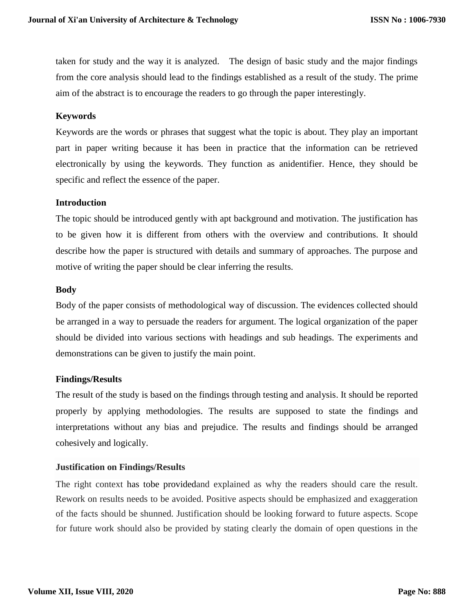taken for study and the way it is analyzed. The design of basic study and the major findings from the core analysis should lead to the findings established as a result of the study. The prime aim of the abstract is to encourage the readers to go through the paper interestingly.

## **Keywords**

Keywords are the words or phrases that suggest what the topic is about. They play an important part in paper writing because it has been in practice that the information can be retrieved electronically by using the keywords. They function as anidentifier. Hence, they should be specific and reflect the essence of the paper.

#### **Introduction**

The topic should be introduced gently with apt background and motivation. The justification has to be given how it is different from others with the overview and contributions. It should describe how the paper is structured with details and summary of approaches. The purpose and motive of writing the paper should be clear inferring the results.

#### **Body**

Body of the paper consists of methodological way of discussion. The evidences collected should be arranged in a way to persuade the readers for argument. The logical organization of the paper should be divided into various sections with headings and sub headings. The experiments and demonstrations can be given to justify the main point.

## **Findings/Results**

The result of the study is based on the findings through testing and analysis. It should be reported properly by applying methodologies. The results are supposed to state the findings and interpretations without any bias and prejudice. The results and findings should be arranged cohesively and logically.

## **Justification on Findings/Results**

The right context has tobe providedand explained as why the readers should care the result. Rework on results needs to be avoided. Positive aspects should be emphasized and exaggeration of the facts should be shunned. Justification should be looking forward to future aspects. Scope for future work should also be provided by stating clearly the domain of open questions in the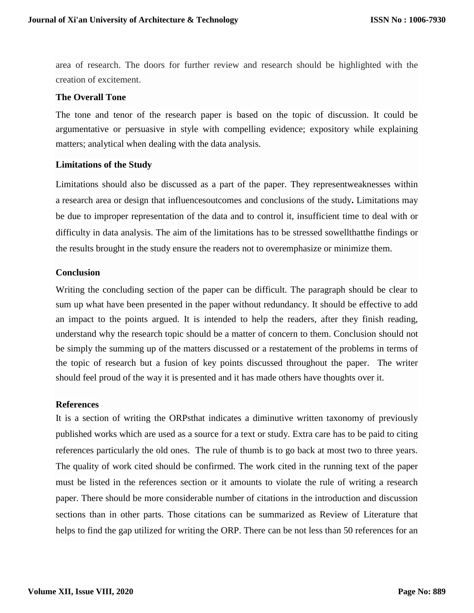area of research. The doors for further review and research should be highlighted with the creation of excitement.

#### **The Overall Tone**

The tone and tenor of the research paper is based on the topic of discussion. It could be argumentative or persuasive in style with compelling evidence; expository while explaining matters; analytical when dealing with the data analysis.

#### **Limitations of the Study**

Limitations should also be discussed as a part of the paper. They representweaknesses within a research area or design that influencesoutcomes and conclusions of the study**.** Limitations may be due to improper representation of the data and to control it, insufficient time to deal with or difficulty in data analysis. The aim of the limitations has to be stressed sowellthatthe findings or the results brought in the study ensure the readers not to overemphasize or minimize them.

#### **Conclusion**

Writing the concluding section of the paper can be difficult. The paragraph should be clear to sum up what have been presented in the paper without redundancy. It should be effective to add an impact to the points argued. It is intended to help the readers, after they finish reading, understand why the research topic should be a matter of concern to them. Conclusion should not be simply the summing up of the matters discussed or a restatement of the problems in terms of the topic of research but a fusion of key points discussed throughout the paper. The writer should feel proud of the way it is presented and it has made others have thoughts over it.

#### **References**

It is a section of writing the ORPsthat indicates a diminutive written taxonomy of previously published works which are used as a source for a text or study. Extra care has to be paid to citing references particularly the old ones. The rule of thumb is to go back at most two to three years. The quality of work cited should be confirmed. The work cited in the running text of the paper must be listed in the references section or it amounts to violate the rule of writing a research paper. There should be more considerable number of citations in the introduction and discussion sections than in other parts. Those citations can be summarized as Review of Literature that helps to find the gap utilized for writing the ORP. There can be not less than 50 references for an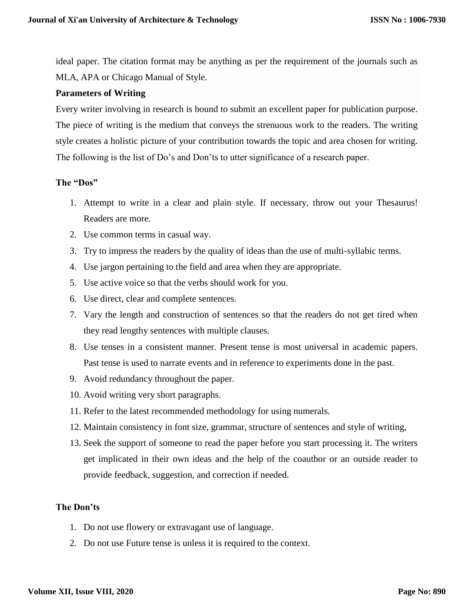ideal paper. The citation format may be anything as per the requirement of the journals such as MLA, APA or Chicago Manual of Style.

## **Parameters of Writing**

Every writer involving in research is bound to submit an excellent paper for publication purpose. The piece of writing is the medium that conveys the strenuous work to the readers. The writing style creates a holistic picture of your contribution towards the topic and area chosen for writing. The following is the list of Do's and Don'ts to utter significance of a research paper.

#### **The "Dos"**

- 1. Attempt to write in a clear and plain style. If necessary, throw out your Thesaurus! Readers are more.
- 2. Use common terms in casual way.
- 3. Try to impress the readers by the quality of ideas than the use of multi-syllabic terms.
- 4. Use jargon pertaining to the field and area when they are appropriate.
- 5. Use active voice so that the verbs should work for you.
- 6. Use direct, clear and complete sentences.
- 7. Vary the length and construction of sentences so that the readers do not get tired when they read lengthy sentences with multiple clauses.
- 8. Use tenses in a consistent manner. Present tense is most universal in academic papers. Past tense is used to narrate events and in reference to experiments done in the past.
- 9. Avoid redundancy throughout the paper.
- 10. Avoid writing very short paragraphs.
- 11. Refer to the latest recommended methodology for using numerals.
- 12. Maintain consistency in font size, grammar, structure of sentences and style of writing,
- 13. Seek the support of someone to read the paper before you start processing it. The writers get implicated in their own ideas and the help of the coauthor or an outside reader to provide feedback, suggestion, and correction if needed.

# **The Don'ts**

- 1. Do not use flowery or extravagant use of language.
- 2. Do not use Future tense is unless it is required to the context.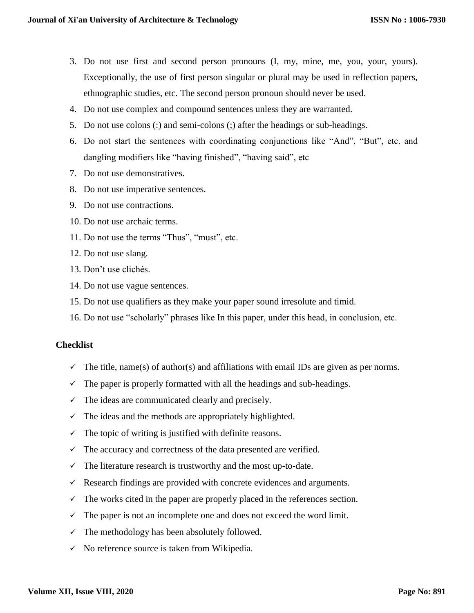- 3. Do not use first and second person pronouns (I, my, mine, me, you, your, yours). Exceptionally, the use of first person singular or plural may be used in reflection papers, ethnographic studies, etc. The second person pronoun should never be used.
- 4. Do not use complex and compound sentences unless they are warranted.
- 5. Do not use colons (:) and semi-colons (;) after the headings or sub-headings.
- 6. Do not start the sentences with coordinating conjunctions like "And", "But", etc. and dangling modifiers like "having finished", "having said", etc
- 7. Do not use demonstratives.
- 8. Do not use imperative sentences.
- 9. Do not use contractions.
- 10. Do not use archaic terms.
- 11. Do not use the terms "Thus", "must", etc.
- 12. Do not use slang.
- 13. Don't use clichés.
- 14. Do not use vague sentences.
- 15. Do not use qualifiers as they make your paper sound irresolute and timid.
- 16. Do not use "scholarly" phrases like In this paper, under this head, in conclusion, etc.

## **Checklist**

- $\checkmark$  The title, name(s) of author(s) and affiliations with email IDs are given as per norms.
- $\checkmark$  The paper is properly formatted with all the headings and sub-headings.
- $\checkmark$  The ideas are communicated clearly and precisely.
- $\checkmark$  The ideas and the methods are appropriately highlighted.
- $\checkmark$  The topic of writing is justified with definite reasons.
- $\checkmark$  The accuracy and correctness of the data presented are verified.
- $\checkmark$  The literature research is trustworthy and the most up-to-date.
- $\checkmark$  Research findings are provided with concrete evidences and arguments.
- $\checkmark$  The works cited in the paper are properly placed in the references section.
- $\checkmark$  The paper is not an incomplete one and does not exceed the word limit.
- $\checkmark$  The methodology has been absolutely followed.
- $\checkmark$  No reference source is taken from Wikipedia.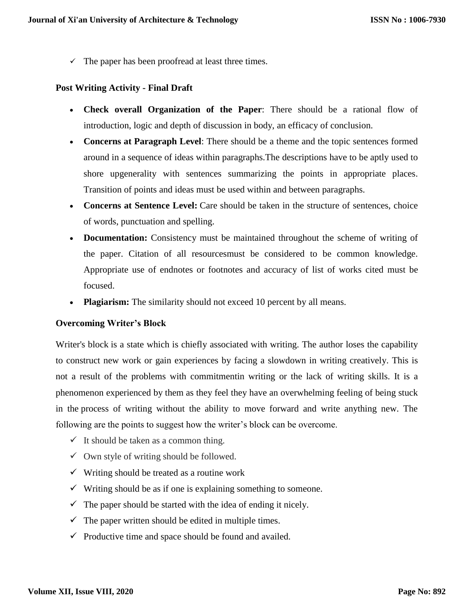$\checkmark$  The paper has been proofread at least three times.

# **Post Writing Activity - Final Draft**

- **Check overall Organization of the Paper**: There should be a rational flow of introduction, logic and depth of discussion in body, an efficacy of conclusion.
- **Concerns at Paragraph Level**: There should be a theme and the topic sentences formed around in a sequence of ideas within paragraphs.The descriptions have to be aptly used to shore upgenerality with sentences summarizing the points in appropriate places. Transition of points and ideas must be used within and between paragraphs.
- **Concerns at Sentence Level:** Care should be taken in the structure of sentences, choice of words, punctuation and spelling.
- **Documentation:** Consistency must be maintained throughout the scheme of writing of the paper. Citation of all resourcesmust be considered to be common knowledge. Appropriate use of endnotes or footnotes and accuracy of list of works cited must be focused.
- Plagiarism: The similarity should not exceed 10 percent by all means.

## **Overcoming Writer's Block**

Writer's block is a state which is chiefly associated with writing. The author loses the capability to construct new work or gain experiences by facing a slowdown in writing creatively. This is not a result of the problems with commitmentin writing or the lack of writing skills. It is a phenomenon experienced by them as they feel they have an overwhelming feeling of being stuck in the process of writing without the ability to move forward and write anything new. The following are the points to suggest how the writer's block can be overcome.

- $\checkmark$  It should be taken as a common thing.
- $\checkmark$  Own style of writing should be followed.
- $\checkmark$  Writing should be treated as a routine work
- $\checkmark$  Writing should be as if one is explaining something to some one.
- $\checkmark$  The paper should be started with the idea of ending it nicely.
- $\checkmark$  The paper written should be edited in multiple times.
- $\checkmark$  Productive time and space should be found and availed.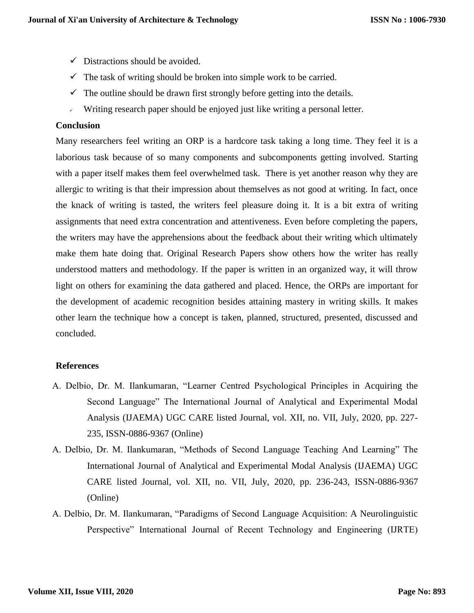- $\checkmark$  Distractions should be avoided.
- $\checkmark$  The task of writing should be broken into simple work to be carried.
- $\checkmark$  The outline should be drawn first strongly before getting into the details.
- Writing research paper should be enjoyed just like writing a personal letter.

#### **Conclusion**

Many researchers feel writing an ORP is a hardcore task taking a long time. They feel it is a laborious task because of so many components and subcomponents getting involved. Starting with a paper itself makes them feel overwhelmed task. There is yet another reason why they are allergic to writing is that their impression about themselves as not good at writing. In fact, once the knack of writing is tasted, the writers feel pleasure doing it. It is a bit extra of writing assignments that need extra concentration and attentiveness. Even before completing the papers, the writers may have the apprehensions about the feedback about their writing which ultimately make them hate doing that. Original Research Papers show others how the writer has really understood matters and methodology. If the paper is written in an organized way, it will throw light on others for examining the data gathered and placed. Hence, the ORPs are important for the development of academic recognition besides attaining mastery in writing skills. It makes other learn the technique how a concept is taken, planned, structured, presented, discussed and concluded.

## **References**

- A. Delbio, Dr. M. Ilankumaran, "Learner Centred Psychological Principles in Acquiring the Second Language" The International Journal of Analytical and Experimental Modal Analysis (IJAEMA) UGC CARE listed Journal, vol. XII, no. VII, July, 2020, pp. 227- 235, ISSN-0886-9367 (Online)
- A. Delbio, Dr. M. Ilankumaran, "Methods of Second Language Teaching And Learning" The International Journal of Analytical and Experimental Modal Analysis (IJAEMA) UGC CARE listed Journal, vol. XII, no. VII, July, 2020, pp. 236-243, ISSN-0886-9367 (Online)
- A. Delbio, Dr. M. Ilankumaran, "Paradigms of Second Language Acquisition: A Neurolinguistic Perspective" International Journal of Recent Technology and Engineering (IJRTE)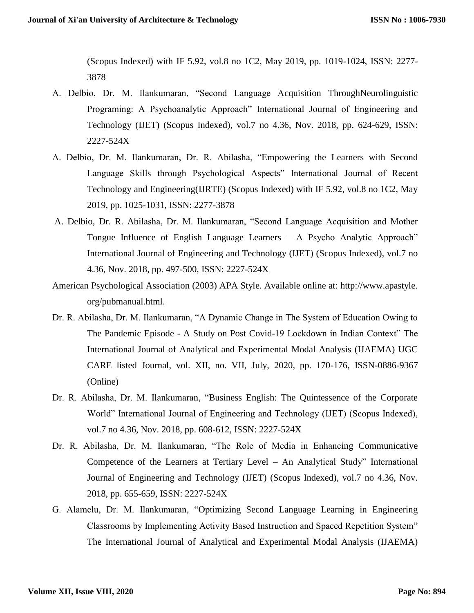(Scopus Indexed) with IF 5.92, vol.8 no 1C2, May 2019, pp. 1019-1024, ISSN: 2277- 3878

- A. Delbio, Dr. M. Ilankumaran, "Second Language Acquisition ThroughNeurolinguistic Programing: A Psychoanalytic Approach" International Journal of Engineering and Technology (IJET) (Scopus Indexed), vol.7 no 4.36, Nov. 2018, pp. 624-629, ISSN: 2227-524X
- A. Delbio, Dr. M. Ilankumaran, Dr. R. Abilasha, "Empowering the Learners with Second Language Skills through Psychological Aspects" International Journal of Recent Technology and Engineering(IJRTE) (Scopus Indexed) with IF 5.92, vol.8 no 1C2, May 2019, pp. 1025-1031, ISSN: 2277-3878
- A. Delbio, Dr. R. Abilasha, Dr. M. Ilankumaran, "Second Language Acquisition and Mother Tongue Influence of English Language Learners – A Psycho Analytic Approach" International Journal of Engineering and Technology (IJET) (Scopus Indexed), vol.7 no 4.36, Nov. 2018, pp. 497-500, ISSN: 2227-524X
- American Psychological Association (2003) APA Style. Available online at: http://www.apastyle. org/pubmanual.html.
- Dr. R. Abilasha, Dr. M. Ilankumaran, "A Dynamic Change in The System of Education Owing to The Pandemic Episode - A Study on Post Covid-19 Lockdown in Indian Context" The International Journal of Analytical and Experimental Modal Analysis (IJAEMA) UGC CARE listed Journal, vol. XII, no. VII, July, 2020, pp. 170-176, ISSN-0886-9367 (Online)
- Dr. R. Abilasha, Dr. M. Ilankumaran, "Business English: The Quintessence of the Corporate World" International Journal of Engineering and Technology (IJET) (Scopus Indexed), vol.7 no 4.36, Nov. 2018, pp. 608-612, ISSN: 2227-524X
- Dr. R. Abilasha, Dr. M. Ilankumaran, "The Role of Media in Enhancing Communicative Competence of the Learners at Tertiary Level – An Analytical Study" International Journal of Engineering and Technology (IJET) (Scopus Indexed), vol.7 no 4.36, Nov. 2018, pp. 655-659, ISSN: 2227-524X
- G. Alamelu, Dr. M. Ilankumaran, "Optimizing Second Language Learning in Engineering Classrooms by Implementing Activity Based Instruction and Spaced Repetition System" The International Journal of Analytical and Experimental Modal Analysis (IJAEMA)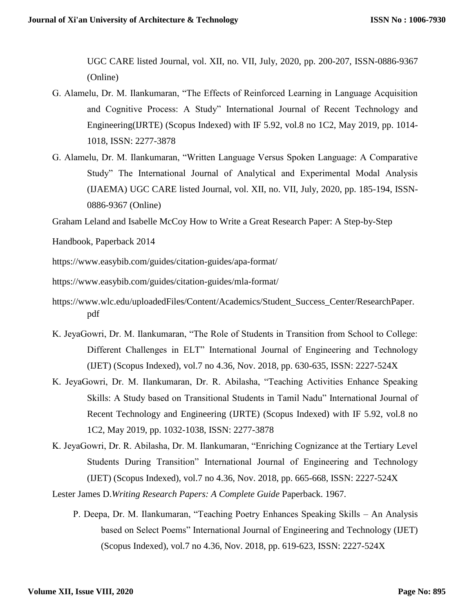UGC CARE listed Journal, vol. XII, no. VII, July, 2020, pp. 200-207, ISSN-0886-9367 (Online)

- G. Alamelu, Dr. M. Ilankumaran, "The Effects of Reinforced Learning in Language Acquisition and Cognitive Process: A Study" International Journal of Recent Technology and Engineering(IJRTE) (Scopus Indexed) with IF 5.92, vol.8 no 1C2, May 2019, pp. 1014- 1018, ISSN: 2277-3878
- G. Alamelu, Dr. M. Ilankumaran, "Written Language Versus Spoken Language: A Comparative Study" The International Journal of Analytical and Experimental Modal Analysis (IJAEMA) UGC CARE listed Journal, vol. XII, no. VII, July, 2020, pp. 185-194, ISSN-0886-9367 (Online)

Graham Leland and Isabelle McCoy How to Write a Great Research Paper: A Step-by-Step

Handbook, Paperback 2014

https://www.easybib.com/guides/citation-guides/apa-format/

https://www.easybib.com/guides/citation-guides/mla-format/

- [https://www.wlc.edu/uploadedFiles/Content/Academics/Student\\_Success\\_Center/ResearchPaper.](https://www.wlc.edu/uploadedFiles/Content/Academics/Student_Success_Center/ResearchPaper.pdf) [pdf](https://www.wlc.edu/uploadedFiles/Content/Academics/Student_Success_Center/ResearchPaper.pdf)
- K. JeyaGowri, Dr. M. Ilankumaran, "The Role of Students in Transition from School to College: Different Challenges in ELT" International Journal of Engineering and Technology (IJET) (Scopus Indexed), vol.7 no 4.36, Nov. 2018, pp. 630-635, ISSN: 2227-524X
- K. JeyaGowri, Dr. M. Ilankumaran, Dr. R. Abilasha, "Teaching Activities Enhance Speaking Skills: A Study based on Transitional Students in Tamil Nadu" International Journal of Recent Technology and Engineering (IJRTE) (Scopus Indexed) with IF 5.92, vol.8 no 1C2, May 2019, pp. 1032-1038, ISSN: 2277-3878
- K. JeyaGowri, Dr. R. Abilasha, Dr. M. Ilankumaran, "Enriching Cognizance at the Tertiary Level Students During Transition" International Journal of Engineering and Technology (IJET) (Scopus Indexed), vol.7 no 4.36, Nov. 2018, pp. 665-668, ISSN: 2227-524X

Lester James D.*Writing Research Papers: A Complete Guide* Paperback. 1967.

P. Deepa, Dr. M. Ilankumaran, "Teaching Poetry Enhances Speaking Skills – An Analysis based on Select Poems" International Journal of Engineering and Technology (IJET) (Scopus Indexed), vol.7 no 4.36, Nov. 2018, pp. 619-623, ISSN: 2227-524X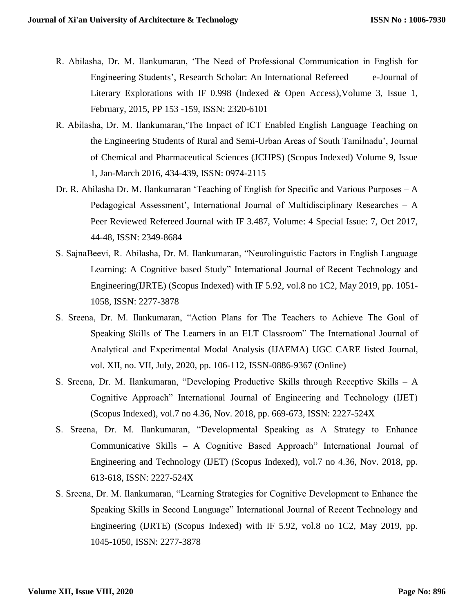- R. Abilasha, Dr. M. Ilankumaran, 'The Need of Professional Communication in English for Engineering Students', Research Scholar: An International Refereed e-Journal of Literary Explorations with IF 0.998 (Indexed & Open Access),Volume 3, Issue 1, February, 2015, PP 153 -159, ISSN: 2320-6101
- R. Abilasha, Dr. M. Ilankumaran,'The Impact of ICT Enabled English Language Teaching on the Engineering Students of Rural and Semi-Urban Areas of South Tamilnadu', Journal of Chemical and Pharmaceutical Sciences (JCHPS) (Scopus Indexed) Volume 9, Issue 1, Jan-March 2016, 434-439, ISSN: 0974-2115
- Dr. R. Abilasha Dr. M. Ilankumaran 'Teaching of English for Specific and Various Purposes A Pedagogical Assessment', International Journal of Multidisciplinary Researches – A Peer Reviewed Refereed Journal with IF 3.487, Volume: 4 Special Issue: 7, Oct 2017, 44-48, ISSN: 2349-8684
- S. SajnaBeevi, R. Abilasha, Dr. M. Ilankumaran, "Neurolinguistic Factors in English Language Learning: A Cognitive based Study" International Journal of Recent Technology and Engineering(IJRTE) (Scopus Indexed) with IF 5.92, vol.8 no 1C2, May 2019, pp. 1051- 1058, ISSN: 2277-3878
- S. Sreena, Dr. M. Ilankumaran, "Action Plans for The Teachers to Achieve The Goal of Speaking Skills of The Learners in an ELT Classroom" The International Journal of Analytical and Experimental Modal Analysis (IJAEMA) UGC CARE listed Journal, vol. XII, no. VII, July, 2020, pp. 106-112, ISSN-0886-9367 (Online)
- S. Sreena, Dr. M. Ilankumaran, "Developing Productive Skills through Receptive Skills A Cognitive Approach" International Journal of Engineering and Technology (IJET) (Scopus Indexed), vol.7 no 4.36, Nov. 2018, pp. 669-673, ISSN: 2227-524X
- S. Sreena, Dr. M. Ilankumaran, "Developmental Speaking as A Strategy to Enhance Communicative Skills – A Cognitive Based Approach" International Journal of Engineering and Technology (IJET) (Scopus Indexed), vol.7 no 4.36, Nov. 2018, pp. 613-618, ISSN: 2227-524X
- S. Sreena, Dr. M. Ilankumaran, "Learning Strategies for Cognitive Development to Enhance the Speaking Skills in Second Language" International Journal of Recent Technology and Engineering (IJRTE) (Scopus Indexed) with IF 5.92, vol.8 no 1C2, May 2019, pp. 1045-1050, ISSN: 2277-3878